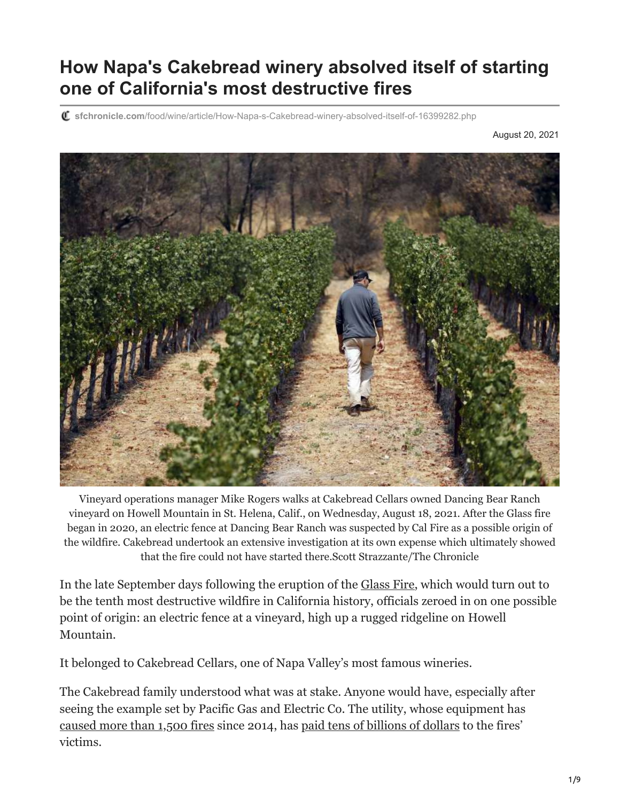## **How Napa's Cakebread winery absolved itself of starting one of California's most destructive fires**

**sfchronicle.com**[/food/wine/article/How-Napa-s-Cakebread-winery-absolved-itself-of-16399282.php](https://www.sfchronicle.com/food/wine/article/How-Napa-s-Cakebread-winery-absolved-itself-of-16399282.php)

August 20, 2021



Vineyard operations manager Mike Rogers walks at Cakebread Cellars owned Dancing Bear Ranch vineyard on Howell Mountain in St. Helena, Calif., on Wednesday, August 18, 2021. After the Glass fire began in 2020, an electric fence at Dancing Bear Ranch was suspected by Cal Fire as a possible origin of the wildfire. Cakebread undertook an extensive investigation at its own expense which ultimately showed that the fire could not have started there.Scott Strazzante/The Chronicle

In the late September days following the eruption of the [Glass Fire,](https://www.sfchronicle.com/california-wildfires/article/Horrifying-Glass-Fire-and-Shady-Fire-burn-15603375.php) which would turn out to be the tenth most destructive wildfire in California history, officials zeroed in on one possible point of origin: an electric fence at a vineyard, high up a rugged ridgeline on Howell Mountain.

It belonged to Cakebread Cellars, one of Napa Valley's most famous wineries.

The Cakebread family understood what was at stake. Anyone would have, especially after seeing the example set by Pacific Gas and Electric Co. The utility, whose equipment has [caused more than 1,500 fires](https://www.wsj.com/articles/pg-e-sparked-at-least-1-500-california-fires-now-the-utility-faces-collapse-11547410768) since 2014, has [paid tens of billions of dollars](https://www.sfchronicle.com/bayarea/article/Victims-fund-sues-22-former-PG-E-officials-over-15976064.php) to the fires' victims.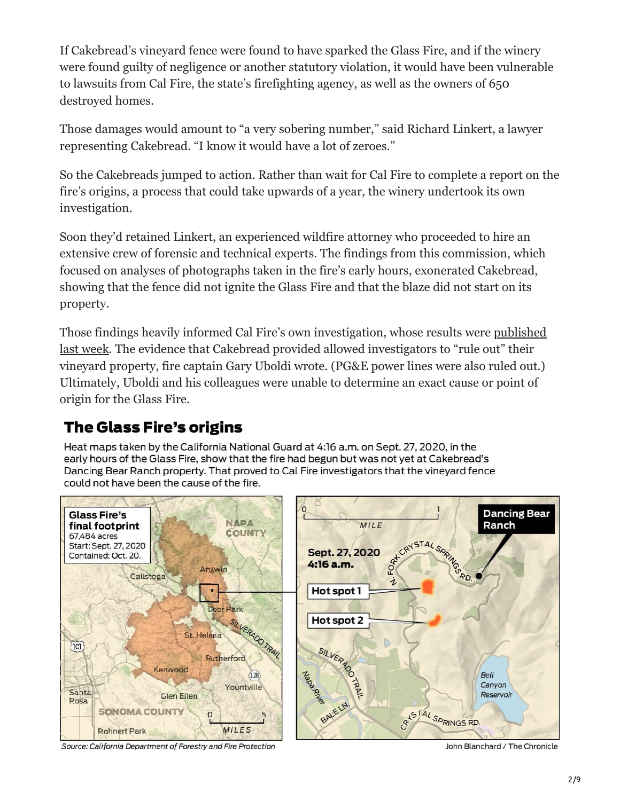If Cakebread's vineyard fence were found to have sparked the Glass Fire, and if the winery were found guilty of negligence or another statutory violation, it would have been vulnerable to lawsuits from Cal Fire, the state's firefighting agency, as well as the owners of 650 destroyed homes.

Those damages would amount to "a very sobering number," said Richard Linkert, a lawyer representing Cakebread. "I know it would have a lot of zeroes."

So the Cakebreads jumped to action. Rather than wait for Cal Fire to complete a report on the fire's origins, a process that could take upwards of a year, the winery undertook its own investigation.

Soon they'd retained Linkert, an experienced wildfire attorney who proceeded to hire an extensive crew of forensic and technical experts. The findings from this commission, which focused on analyses of photographs taken in the fire's early hours, exonerated Cakebread, showing that the fence did not ignite the Glass Fire and that the blaze did not start on its property.

[Those findings heavily informed Cal Fire's own investigation, whose results were published](https://www.sfchronicle.com/bayarea/article/Cal-Fire-unable-to-determine-cause-of-2020-Glass-16385553.php) last week. The evidence that Cakebread provided allowed investigators to "rule out" their vineyard property, fire captain Gary Uboldi wrote. (PG&E power lines were also ruled out.) Ultimately, Uboldi and his colleagues were unable to determine an exact cause or point of origin for the Glass Fire.

### **The Glass Fire's origins**

Heat maps taken by the California National Guard at 4:16 a.m. on Sept. 27, 2020, in the early hours of the Glass Fire, show that the fire had begun but was not yet at Cakebread's Dancing Bear Ranch property. That proved to Cal Fire investigators that the vineyard fence could not have been the cause of the fire.



Source: California Department of Forestry and Fire Protection

John Blanchard / The Chronicle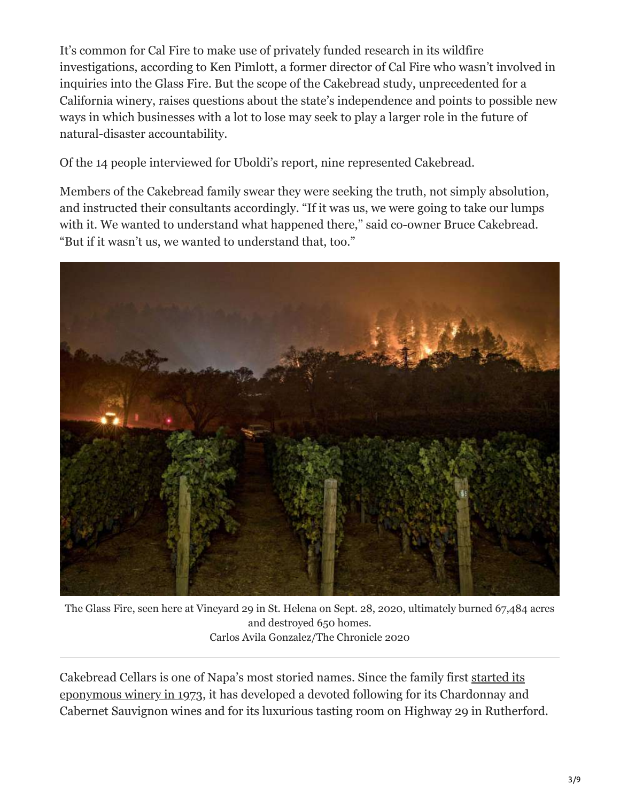It's common for Cal Fire to make use of privately funded research in its wildfire investigations, according to Ken Pimlott, a former director of Cal Fire who wasn't involved in inquiries into the Glass Fire. But the scope of the Cakebread study, unprecedented for a California winery, raises questions about the state's independence and points to possible new ways in which businesses with a lot to lose may seek to play a larger role in the future of natural-disaster accountability.

Of the 14 people interviewed for Uboldi's report, nine represented Cakebread.

Members of the Cakebread family swear they were seeking the truth, not simply absolution, and instructed their consultants accordingly. "If it was us, we were going to take our lumps with it. We wanted to understand what happened there," said co-owner Bruce Cakebread. "But if it wasn't us, we wanted to understand that, too."



The Glass Fire, seen here at Vineyard 29 in St. Helena on Sept. 28, 2020, ultimately burned 67,484 acres and destroyed 650 homes. Carlos Avila Gonzalez/The Chronicle 2020

[Cakebread Cellars is one of Napa's most storied names. Since the family first started its](https://www.sfchronicle.com/wine/article/Dolores-Cakebread-who-helped-turn-Napa-Valley-15645601.php) eponymous winery in 1973, it has developed a devoted following for its Chardonnay and Cabernet Sauvignon wines and for its luxurious tasting room on Highway 29 in Rutherford.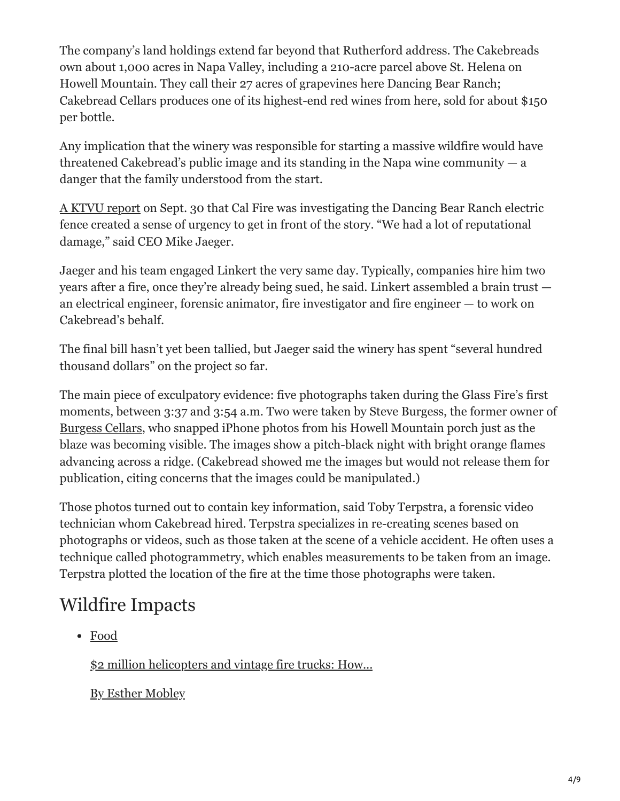The company's land holdings extend far beyond that Rutherford address. The Cakebreads own about 1,000 acres in Napa Valley, including a 210-acre parcel above St. Helena on Howell Mountain. They call their 27 acres of grapevines here Dancing Bear Ranch; Cakebread Cellars produces one of its highest-end red wines from here, sold for about \$150 per bottle.

Any implication that the winery was responsible for starting a massive wildfire would have threatened Cakebread's public image and its standing in the Napa wine community  $- a$ danger that the family understood from the start.

[A KTVU report](https://www.ktvu.com/news/cal-fire-focused-on-remote-vineyard-in-probe-into-cause-of-glass-fire) on Sept. 30 that Cal Fire was investigating the Dancing Bear Ranch electric fence created a sense of urgency to get in front of the story. "We had a lot of reputational damage," said CEO Mike Jaeger.

Jaeger and his team engaged Linkert the very same day. Typically, companies hire him two years after a fire, once they're already being sued, he said. Linkert assembled a brain trust an electrical engineer, forensic animator, fire investigator and fire engineer — to work on Cakebread's behalf.

The final bill hasn't yet been tallied, but Jaeger said the winery has spent "several hundred thousand dollars" on the project so far.

The main piece of exculpatory evidence: five photographs taken during the Glass Fire's first moments, between 3:37 and 3:54 a.m. Two were taken by Steve Burgess, the former owner of [Burgess Cellars](https://www.sfchronicle.com/food/wine/article/Arkansas-mogul-Gaylon-Lawrence-Jr-once-unknown-16217793.php), who snapped iPhone photos from his Howell Mountain porch just as the blaze was becoming visible. The images show a pitch-black night with bright orange flames advancing across a ridge. (Cakebread showed me the images but would not release them for publication, citing concerns that the images could be manipulated.)

Those photos turned out to contain key information, said Toby Terpstra, a forensic video technician whom Cakebread hired. Terpstra specializes in re-creating scenes based on photographs or videos, such as those taken at the scene of a vehicle accident. He often uses a technique called photogrammetry, which enables measurements to be taken from an image. Terpstra plotted the location of the fire at the time those photographs were taken.

# Wildfire Impacts

Food

[\\$2 million helicopters and vintage fire trucks: How...](https://www.sfchronicle.com/food/wine/article/2-million-helicopters-and-vintage-fire-trucks-16365020.php)

By Esther Mobley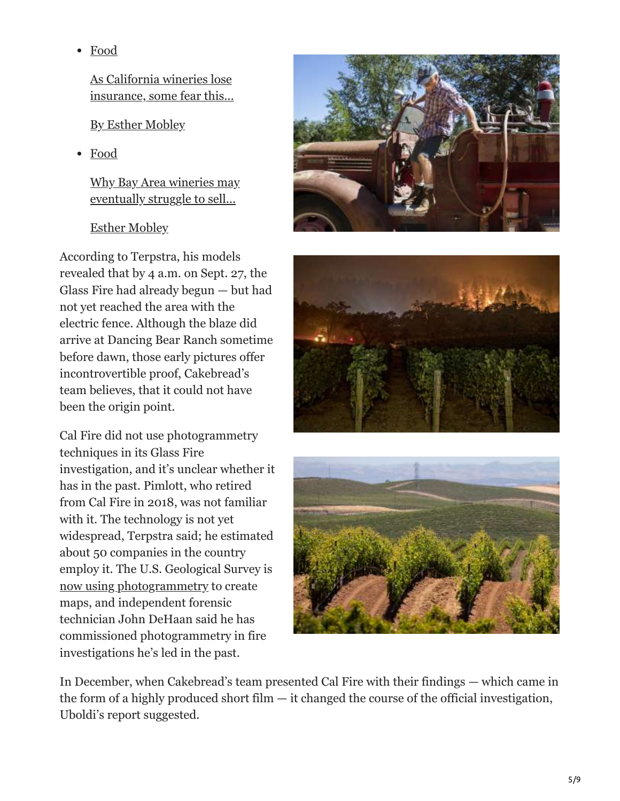Food

As California wineries lose insurance, some fear this...

By Esther Mobley

Food

[Why Bay Area wineries may](https://www.sfchronicle.com/food/wine/article/2-million-helicopters-and-vintage-fire-trucks-16365020.php) eventually struggle to sell...

#### Esther Mobley

According to Terpstra, his models revealed that by 4 a.m. on Sept. 27, the Glass Fire had already begun — but had not yet reached the area with the electric fence. Although the blaze did arriv[e at Dancing Bear Ranch sometime](https://www.sfchronicle.com/food/wine/article/winery-fire-insurance-california-16304533.php) before dawn, those early pictures offer incontrovertible proof, Cakebread's team believes, that it could not have been the origin point.

Cal Fire did not use photogrammetry techniques in its Glass Fire inves[tigation, and it's unclear whether it](https://www.sfchronicle.com/food/wine/article/Wine-sales-and-tourism-are-soaring-But-Bay-Area-16236683.php) has in the past. Pimlott, who retired from Cal Fire in 2018, was not familiar with it. The technology is not yet widespread, Terpstra said; he estimated about 50 companies in the country employ it. The U.S. Geological Survey is [now using photogrammetry](https://www.usgs.gov/centers/whcmsc/science/aerial-imaging-and-mapping?qt-science_center_objects=0) to create maps, and independent forensic technician John DeHaan said he has commissioned photogrammetry in fire investigations he's led in the past.







In December, when Cakebread's team presented Cal Fire with their findings — which came in the form of a highly produced short film  $-$  it changed the course of the official investigation, Uboldi's report suggested.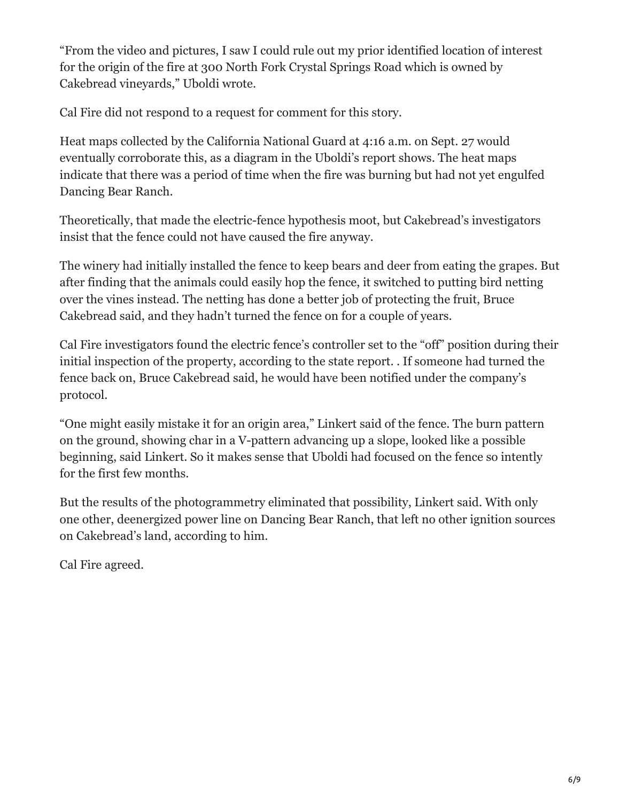"From the video and pictures, I saw I could rule out my prior identified location of interest for the origin of the fire at 300 North Fork Crystal Springs Road which is owned by Cakebread vineyards," Uboldi wrote.

Cal Fire did not respond to a request for comment for this story.

Heat maps collected by the California National Guard at 4:16 a.m. on Sept. 27 would eventually corroborate this, as a diagram in the Uboldi's report shows. The heat maps indicate that there was a period of time when the fire was burning but had not yet engulfed Dancing Bear Ranch.

Theoretically, that made the electric-fence hypothesis moot, but Cakebread's investigators insist that the fence could not have caused the fire anyway.

The winery had initially installed the fence to keep bears and deer from eating the grapes. But after finding that the animals could easily hop the fence, it switched to putting bird netting over the vines instead. The netting has done a better job of protecting the fruit, Bruce Cakebread said, and they hadn't turned the fence on for a couple of years.

Cal Fire investigators found the electric fence's controller set to the "off" position during their initial inspection of the property, according to the state report. . If someone had turned the fence back on, Bruce Cakebread said, he would have been notified under the company's protocol.

"One might easily mistake it for an origin area," Linkert said of the fence. The burn pattern on the ground, showing char in a V-pattern advancing up a slope, looked like a possible beginning, said Linkert. So it makes sense that Uboldi had focused on the fence so intently for the first few months.

But the results of the photogrammetry eliminated that possibility, Linkert said. With only one other, deenergized power line on Dancing Bear Ranch, that left no other ignition sources on Cakebread's land, according to him.

Cal Fire agreed.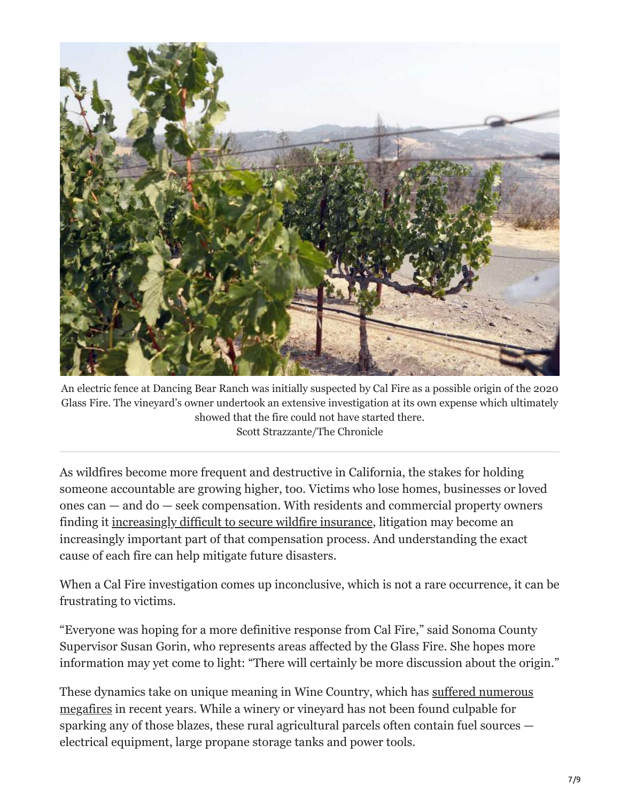

An electric fence at Dancing Bear Ranch was initially suspected by Cal Fire as a possible origin of the 2020 Glass Fire. The vineyard's owner undertook an extensive investigation at its own expense which ultimately showed that the fire could not have started there. Scott Strazzante/The Chronicle

As wildfires become more frequent and destructive in California, the stakes for holding someone accountable are growing higher, too. Victims who lose homes, businesses or loved ones can — and do — seek compensation. With residents and commercial property owners finding it [increasingly difficult to secure wildfire insurance](https://www.sfchronicle.com/food/wine/article/winery-fire-insurance-california-16304533.php), litigation may become an increasingly important part of that compensation process. And understanding the exact cause of each fire can help mitigate future disasters.

When a Cal Fire investigation comes up inconclusive, which is not a rare occurrence, it can be frustrating to victims.

"Everyone was hoping for a more definitive response from Cal Fire," said Sonoma County Supervisor Susan Gorin, who represents areas affected by the Glass Fire. She hopes more information may yet come to light: "There will certainly be more discussion about the origin."

[These dynamics take on unique meaning in Wine Country, which has suffered numerous](https://www.sfchronicle.com/california-wildfires/article/Wine-Country-won-t-stop-burning-It-s-a-15666365.php) megafires in recent years. While a winery or vineyard has not been found culpable for sparking any of those blazes, these rural agricultural parcels often contain fuel sources electrical equipment, large propane storage tanks and power tools.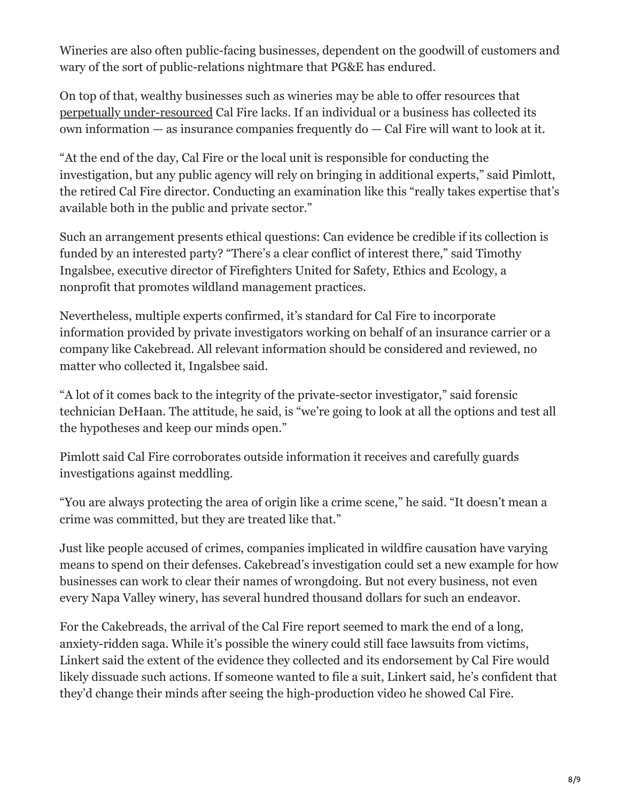Wineries are also often public-facing businesses, dependent on the goodwill of customers and wary of the sort of public-relations nightmare that PG&E has endured.

On top of that, wealthy businesses such as wineries may be able to offer resources that [perpetually under-resourced](https://www.sfchronicle.com/politics/article/Disastrous-fire-season-has-Cal-Fire-running-out-13210912.php) Cal Fire lacks. If an individual or a business has collected its own information — as insurance companies frequently do — Cal Fire will want to look at it.

"At the end of the day, Cal Fire or the local unit is responsible for conducting the investigation, but any public agency will rely on bringing in additional experts," said Pimlott, the retired Cal Fire director. Conducting an examination like this "really takes expertise that's available both in the public and private sector."

Such an arrangement presents ethical questions: Can evidence be credible if its collection is funded by an interested party? "There's a clear conflict of interest there," said Timothy Ingalsbee, executive director of Firefighters United for Safety, Ethics and Ecology, a nonprofit that promotes wildland management practices.

Nevertheless, multiple experts confirmed, it's standard for Cal Fire to incorporate information provided by private investigators working on behalf of an insurance carrier or a company like Cakebread. All relevant information should be considered and reviewed, no matter who collected it, Ingalsbee said.

"A lot of it comes back to the integrity of the private-sector investigator," said forensic technician DeHaan. The attitude, he said, is "we're going to look at all the options and test all the hypotheses and keep our minds open."

Pimlott said Cal Fire corroborates outside information it receives and carefully guards investigations against meddling.

"You are always protecting the area of origin like a crime scene," he said. "It doesn't mean a crime was committed, but they are treated like that."

Just like people accused of crimes, companies implicated in wildfire causation have varying means to spend on their defenses. Cakebread's investigation could set a new example for how businesses can work to clear their names of wrongdoing. But not every business, not even every Napa Valley winery, has several hundred thousand dollars for such an endeavor.

For the Cakebreads, the arrival of the Cal Fire report seemed to mark the end of a long, anxiety-ridden saga. While it's possible the winery could still face lawsuits from victims, Linkert said the extent of the evidence they collected and its endorsement by Cal Fire would likely dissuade such actions. If someone wanted to file a suit, Linkert said, he's confident that they'd change their minds after seeing the high-production video he showed Cal Fire.